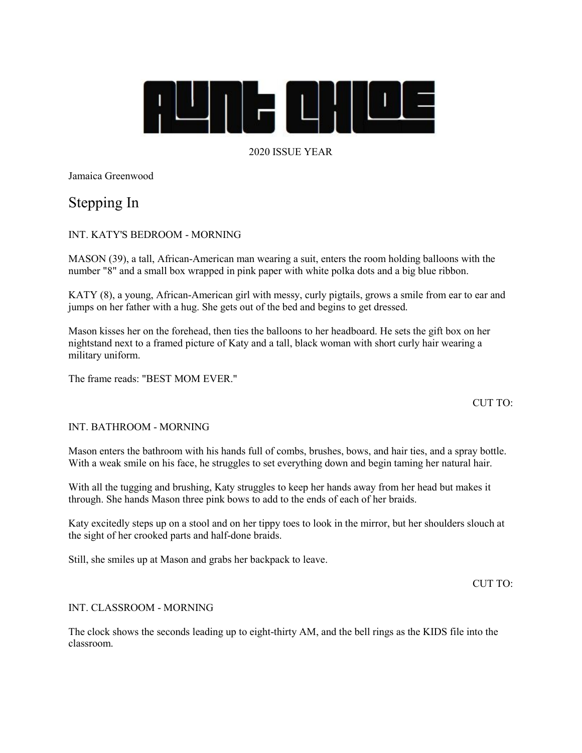

# 2020 ISSUE YEAR

Jamaica Greenwood

# Stepping In

## INT. KATY'S BEDROOM - MORNING

MASON (39), a tall, African-American man wearing a suit, enters the room holding balloons with the number "8" and a small box wrapped in pink paper with white polka dots and a big blue ribbon.

KATY (8), a young, African-American girl with messy, curly pigtails, grows a smile from ear to ear and jumps on her father with a hug. She gets out of the bed and begins to get dressed.

Mason kisses her on the forehead, then ties the balloons to her headboard. He sets the gift box on her nightstand next to a framed picture of Katy and a tall, black woman with short curly hair wearing a military uniform.

The frame reads: "BEST MOM EVER."

## CUT TO:

#### INT. BATHROOM - MORNING

Mason enters the bathroom with his hands full of combs, brushes, bows, and hair ties, and a spray bottle. With a weak smile on his face, he struggles to set everything down and begin taming her natural hair.

With all the tugging and brushing, Katy struggles to keep her hands away from her head but makes it through. She hands Mason three pink bows to add to the ends of each of her braids.

Katy excitedly steps up on a stool and on her tippy toes to look in the mirror, but her shoulders slouch at the sight of her crooked parts and half-done braids.

Still, she smiles up at Mason and grabs her backpack to leave.

CUT TO:

#### INT. CLASSROOM - MORNING

The clock shows the seconds leading up to eight-thirty AM, and the bell rings as the KIDS file into the classroom.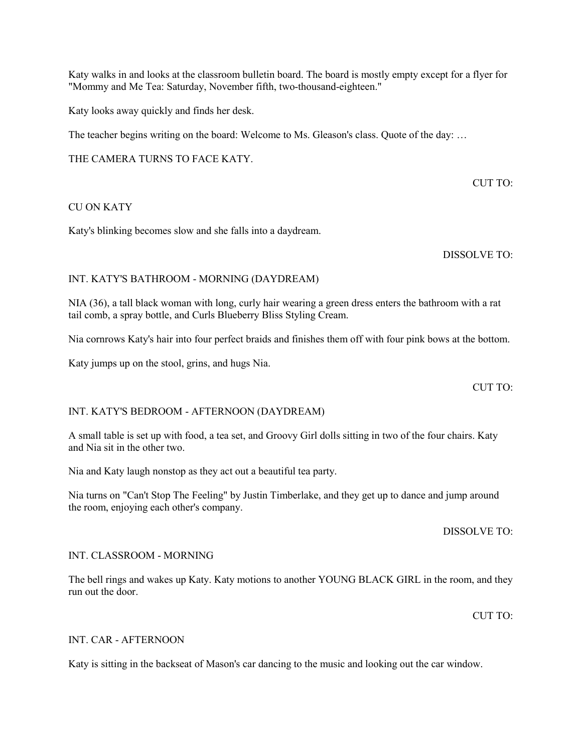Katy walks in and looks at the classroom bulletin board. The board is mostly empty except for a flyer for "Mommy and Me Tea: Saturday, November fifth, two-thousand-eighteen."

Katy looks away quickly and finds her desk.

The teacher begins writing on the board: Welcome to Ms. Gleason's class. Quote of the day: …

THE CAMERA TURNS TO FACE KATY.

CUT TO:

## CU ON KATY

Katy's blinking becomes slow and she falls into a daydream.

DISSOLVE TO:

## INT. KATY'S BATHROOM - MORNING (DAYDREAM)

NIA (36), a tall black woman with long, curly hair wearing a green dress enters the bathroom with a rat tail comb, a spray bottle, and Curls Blueberry Bliss Styling Cream.

Nia cornrows Katy's hair into four perfect braids and finishes them off with four pink bows at the bottom.

Katy jumps up on the stool, grins, and hugs Nia.

CUT TO:

## INT. KATY'S BEDROOM - AFTERNOON (DAYDREAM)

A small table is set up with food, a tea set, and Groovy Girl dolls sitting in two of the four chairs. Katy and Nia sit in the other two.

Nia and Katy laugh nonstop as they act out a beautiful tea party.

Nia turns on "Can't Stop The Feeling" by Justin Timberlake, and they get up to dance and jump around the room, enjoying each other's company.

DISSOLVE TO:

#### INT. CLASSROOM - MORNING

The bell rings and wakes up Katy. Katy motions to another YOUNG BLACK GIRL in the room, and they run out the door.

 $CUT TO:$ 

#### INT. CAR - AFTERNOON

Katy is sitting in the backseat of Mason's car dancing to the music and looking out the car window.